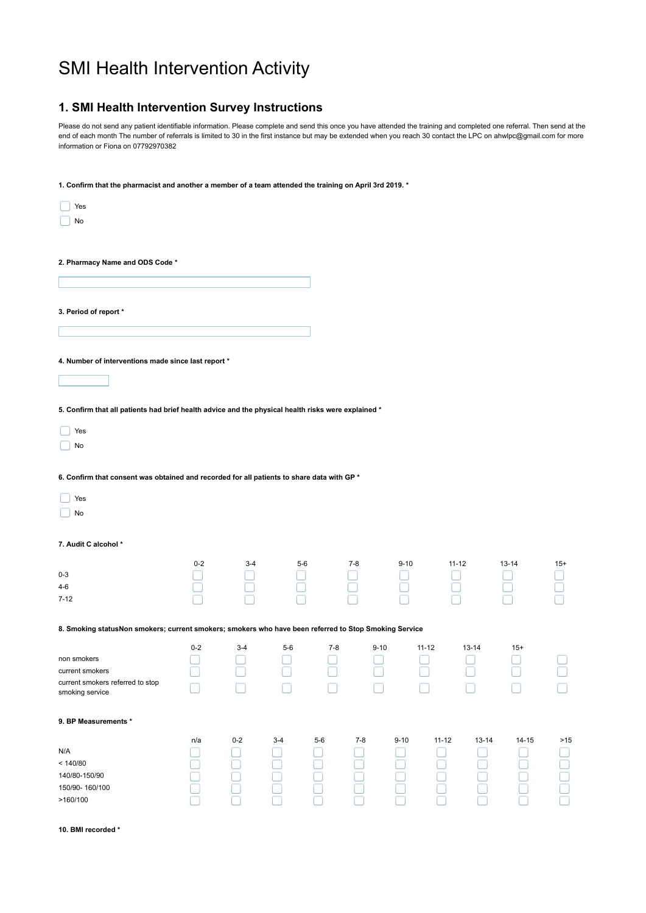## SMI Health Intervention Activity

## **1. SMI Health Intervention Survey Instructions**

Please do not send any patient identifiable information. Please complete and send this once you have attended the training and completed one referral. Then send at the end of each month The number of referrals is limited to 30 in the first instance but may be extended when you reach 30 contact the LPC on ahwlpc@gmail.com for more information or Fiona on 07792970382

| 1. Confirm that the pharmacist and another a member of a team attended the training on April 3rd 2019. * |         |         |         |         |          |          |           |           |           |       |
|----------------------------------------------------------------------------------------------------------|---------|---------|---------|---------|----------|----------|-----------|-----------|-----------|-------|
| Yes                                                                                                      |         |         |         |         |          |          |           |           |           |       |
| No                                                                                                       |         |         |         |         |          |          |           |           |           |       |
|                                                                                                          |         |         |         |         |          |          |           |           |           |       |
|                                                                                                          |         |         |         |         |          |          |           |           |           |       |
| 2. Pharmacy Name and ODS Code *                                                                          |         |         |         |         |          |          |           |           |           |       |
|                                                                                                          |         |         |         |         |          |          |           |           |           |       |
| 3. Period of report *                                                                                    |         |         |         |         |          |          |           |           |           |       |
|                                                                                                          |         |         |         |         |          |          |           |           |           |       |
|                                                                                                          |         |         |         |         |          |          |           |           |           |       |
| 4. Number of interventions made since last report *                                                      |         |         |         |         |          |          |           |           |           |       |
|                                                                                                          |         |         |         |         |          |          |           |           |           |       |
| 5. Confirm that all patients had brief health advice and the physical health risks were explained *      |         |         |         |         |          |          |           |           |           |       |
| Yes                                                                                                      |         |         |         |         |          |          |           |           |           |       |
| $\Box$ No                                                                                                |         |         |         |         |          |          |           |           |           |       |
|                                                                                                          |         |         |         |         |          |          |           |           |           |       |
| 6. Confirm that consent was obtained and recorded for all patients to share data with GP *               |         |         |         |         |          |          |           |           |           |       |
| Yes                                                                                                      |         |         |         |         |          |          |           |           |           |       |
| $\blacksquare$ No                                                                                        |         |         |         |         |          |          |           |           |           |       |
|                                                                                                          |         |         |         |         |          |          |           |           |           |       |
| 7. Audit C alcohol *                                                                                     |         |         |         |         |          |          |           |           |           |       |
|                                                                                                          | $0 - 2$ | $3-4$   | $5 - 6$ |         | 7-8      | $9 - 10$ | $11 - 12$ |           | $13 - 14$ | $15+$ |
| $0 - 3$                                                                                                  |         |         |         |         |          |          |           |           |           |       |
| 4-6<br>$7 - 12$                                                                                          |         |         |         |         |          |          |           |           |           |       |
|                                                                                                          |         |         |         |         |          |          |           |           |           |       |
| 8. Smoking statusNon smokers; current smokers; smokers who have been referred to Stop Smoking Service    |         |         |         |         |          |          |           |           |           |       |
|                                                                                                          | $0 - 2$ | $3-4$   | $5-6$   | $7 - 8$ | $9 - 10$ |          | $11 - 12$ | $13 - 14$ | $15+$     |       |
| non smokers                                                                                              |         |         |         |         |          |          |           |           | u         |       |
| current smokers                                                                                          |         |         |         |         |          |          |           |           |           |       |
| current smokers referred to stop<br>smoking service                                                      |         |         |         |         |          |          |           |           |           |       |
| 9. BP Measurements *                                                                                     |         |         |         |         |          |          |           |           |           |       |
|                                                                                                          | n/a     | $0 - 2$ | $3 - 4$ | $5-6$   | $7 - 8$  | $9 - 10$ | $11 - 12$ | $13 - 14$ | $14 - 15$ | >15   |
| N/A                                                                                                      |         |         |         |         |          |          |           |           |           |       |
| < 140/80                                                                                                 |         |         |         |         |          |          |           |           |           |       |
| 140/80-150/90<br>150/90-160/100                                                                          |         |         |         |         |          |          |           |           |           |       |
| >160/100                                                                                                 |         |         |         |         |          |          |           |           |           |       |
|                                                                                                          |         |         |         |         |          |          |           |           |           |       |

**10. BMI recorded \***